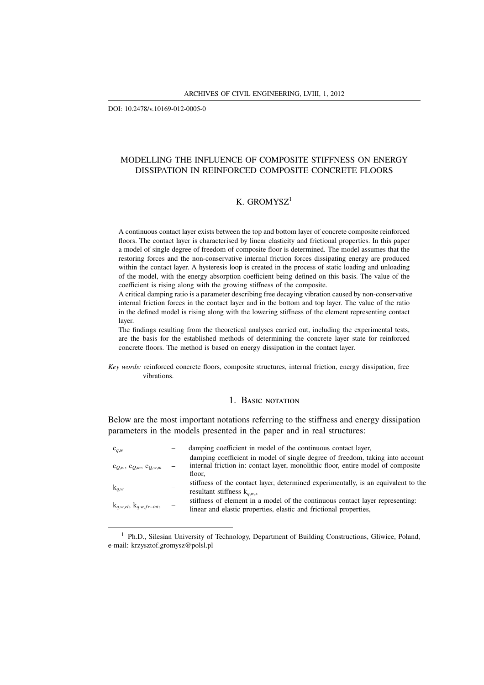DOI: 10.2478/v.10169-012-0005-0

# MODELLING THE INFLUENCE OF COMPOSITE STIFFNESS ON ENERGY DISSIPATION IN REINFORCED COMPOSITE CONCRETE FLOORS

# K. GROMYSZ<sup>1</sup>

A continuous contact layer exists between the top and bottom layer of concrete composite reinforced floors. The contact layer is characterised by linear elasticity and frictional properties. In this paper a model of single degree of freedom of composite floor is determined. The model assumes that the restoring forces and the non-conservative internal friction forces dissipating energy are produced within the contact layer. A hysteresis loop is created in the process of static loading and unloading of the model, with the energy absorption coefficient being defined on this basis. The value of the coefficient is rising along with the growing stiffness of the composite.

A critical damping ratio is a parameter describing free decaying vibration caused by non-conservative internal friction forces in the contact layer and in the bottom and top layer. The value of the ratio in the defined model is rising along with the lowering stiffness of the element representing contact layer.

The findings resulting from the theoretical analyses carried out, including the experimental tests, are the basis for the established methods of determining the concrete layer state for reinforced concrete floors. The method is based on energy dissipation in the contact layer.

*Key words:* reinforced concrete floors, composite structures, internal friction, energy dissipation, free vibrations.

## 1 BASIC NOTATION

Below are the most important notations referring to the stiffness and energy dissipation parameters in the models presented in the paper and in real structures:

| $c_{q,w}$                     | damping coefficient in model of the continuous contact layer,                                                                                                               |
|-------------------------------|-----------------------------------------------------------------------------------------------------------------------------------------------------------------------------|
| $c_{Q,w}, c_{Q,m}, c_{Q,w,m}$ | damping coefficient in model of single degree of freedom, taking into account<br>internal friction in: contact layer, monolithic floor, entire model of composite<br>floor. |
| $k_{q,w}$                     | stiffness of the contact layer, determined experimentally, is an equivalent to the<br>resultant stiffness $k_{a,w,x}$                                                       |
| $k_{q,w,el}, k_{q,w,fr-int},$ | stiffness of element in a model of the continuous contact layer representing:<br>linear and elastic properties, elastic and frictional properties,                          |

<sup>&</sup>lt;sup>1</sup> Ph.D., Silesian University of Technology, Department of Building Constructions, Gliwice, Poland, e-mail: krzysztof.gromysz@polsl.pl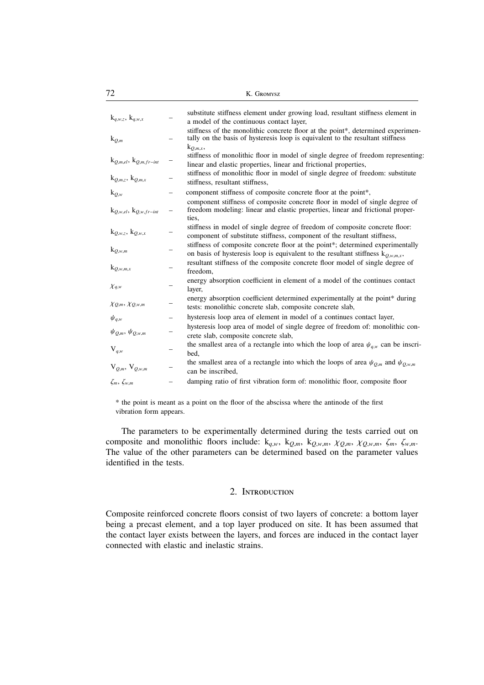| 72                              | K. GROMYSZ |                                                                                                                                                                         |  |  |  |  |  |  |
|---------------------------------|------------|-------------------------------------------------------------------------------------------------------------------------------------------------------------------------|--|--|--|--|--|--|
| $k_{q,w,z}, k_{q,w,x}$          |            | substitute stiffness element under growing load, resultant stiffness element in                                                                                         |  |  |  |  |  |  |
|                                 |            | a model of the continuous contact layer,                                                                                                                                |  |  |  |  |  |  |
| $k_{O,m}$                       |            | stiffness of the monolithic concrete floor at the point*, determined experimen-<br>tally on the basis of hysteresis loop is equivalent to the resultant stiffness       |  |  |  |  |  |  |
|                                 |            | $k_{O,m,x}$                                                                                                                                                             |  |  |  |  |  |  |
| $k_{Q,m,el}$ , $k_{Q,m,fr-int}$ |            | stiffness of monolithic floor in model of single degree of freedom representing:                                                                                        |  |  |  |  |  |  |
|                                 |            | linear and elastic properties, linear and frictional properties,                                                                                                        |  |  |  |  |  |  |
| $k_{Q,m,z}$ , $k_{Q,m,x}$       |            | stiffness of monolithic floor in model of single degree of freedom: substitute<br>stiffness, resultant stiffness,                                                       |  |  |  |  |  |  |
| $k_{O,w}$                       |            | component stiffness of composite concrete floor at the point*,                                                                                                          |  |  |  |  |  |  |
| $k_{O,w,el}$ , $k_{O,w,fr-int}$ |            | component stiffness of composite concrete floor in model of single degree of<br>freedom modeling: linear and elastic properties, linear and frictional proper-<br>ties, |  |  |  |  |  |  |
| $k_{Q,w,z}$ , $k_{Q,w,x}$       |            | stiffness in model of single degree of freedom of composite concrete floor:<br>component of substitute stiffness, component of the resultant stiffness,                 |  |  |  |  |  |  |
| $k_{Q,w,m}$                     |            | stiffness of composite concrete floor at the point*; determined experimentally<br>on basis of hysteresis loop is equivalent to the resultant stiffness $k_{0,w,m,x}$ ,  |  |  |  |  |  |  |
| $K_{Q,w,m,x}$                   |            | resultant stiffness of the composite concrete floor model of single degree of<br>freedom,                                                                               |  |  |  |  |  |  |
| $\chi_{q,w}$                    |            | energy absorption coefficient in element of a model of the continues contact<br>layer,                                                                                  |  |  |  |  |  |  |
| $\chi_{O,m}, \chi_{O,w,m}$      |            | energy absorption coefficient determined experimentally at the point* during<br>tests: monolithic concrete slab, composite concrete slab,                               |  |  |  |  |  |  |
| $\psi_{a,w}$                    |            | hysteresis loop area of element in model of a continues contact layer,                                                                                                  |  |  |  |  |  |  |
| $\psi_{O,m}, \psi_{O,w,m}$      |            | hysteresis loop area of model of single degree of freedom of: monolithic con-<br>crete slab, composite concrete slab,                                                   |  |  |  |  |  |  |
| $V_{q,w}$                       |            | the smallest area of a rectangle into which the loop of area $\psi_{q,w}$ can be inscri-<br>bed,                                                                        |  |  |  |  |  |  |
| $V_{Q,m}$ , $V_{Q,w,m}$         |            | the smallest area of a rectangle into which the loops of area $\psi_{O,m}$ and $\psi_{O,w,m}$<br>can be inscribed.                                                      |  |  |  |  |  |  |
| $\zeta_m$ , $\zeta_{w,m}$       |            | damping ratio of first vibration form of: monolithic floor, composite floor                                                                                             |  |  |  |  |  |  |

\* the point is meant as a point on the floor of the abscissa where the antinode of the first vibration form appears.

The parameters to be experimentally determined during the tests carried out on composite and monolithic floors include: k*q*,*w*, k*Q*,*m*, k*Q*,*w*,*m*, χ*Q*,*m*, χ*Q*,*w*,*m*, ζ*m*, ζ*w*,*m*. The value of the other parameters can be determined based on the parameter values identified in the tests.

## 2. INTRODUCTION

Composite reinforced concrete floors consist of two layers of concrete: a bottom layer being a precast element, and a top layer produced on site. It has been assumed that the contact layer exists between the layers, and forces are induced in the contact layer connected with elastic and inelastic strains.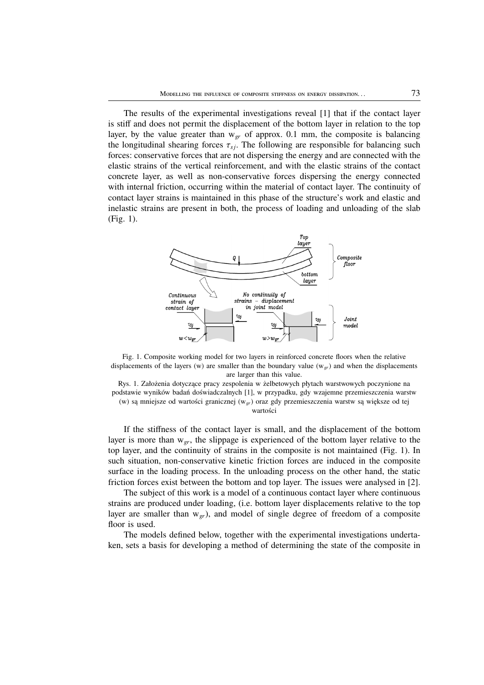The results of the experimental investigations reveal [1] that if the contact layer is stiff and does not permit the displacement of the bottom layer in relation to the top layer, by the value greater than  $w_{gr}$  of approx. 0.1 mm, the composite is balancing the longitudinal shearing forces  $\tau_{si}$ . The following are responsible for balancing such forces: conservative forces that are not dispersing the energy and are connected with the elastic strains of the vertical reinforcement, and with the elastic strains of the contact concrete layer, as well as non-conservative forces dispersing the energy connected with internal friction, occurring within the material of contact layer. The continuity of contact layer strains is maintained in this phase of the structure's work and elastic and inelastic strains are present in both, the process of loading and unloading of the slab (Fig. 1).



Fig. 1. Composite working model for two layers in reinforced concrete floors when the relative displacements of the layers (w) are smaller than the boundary value  $(w_{gr})$  and when the displacements are larger than this value.

Rys. 1. Założenia dotyczące pracy zespolenia w żelbetowych płytach warstwowych poczynione na podstawie wyników badań doświadczalnych [1], w przypadku, gdy wzajemne przemieszczenia warstw (w) są mniejsze od wartości granicznej (w*gr*) oraz gdy przemieszczenia warstw są większe od tej wartości

If the stiffness of the contact layer is small, and the displacement of the bottom layer is more than w*gr*, the slippage is experienced of the bottom layer relative to the top layer, and the continuity of strains in the composite is not maintained (Fig. 1). In such situation, non-conservative kinetic friction forces are induced in the composite surface in the loading process. In the unloading process on the other hand, the static friction forces exist between the bottom and top layer. The issues were analysed in [2].

The subject of this work is a model of a continuous contact layer where continuous strains are produced under loading, (i.e. bottom layer displacements relative to the top layer are smaller than w*gr*), and model of single degree of freedom of a composite floor is used.

The models defined below, together with the experimental investigations undertaken, sets a basis for developing a method of determining the state of the composite in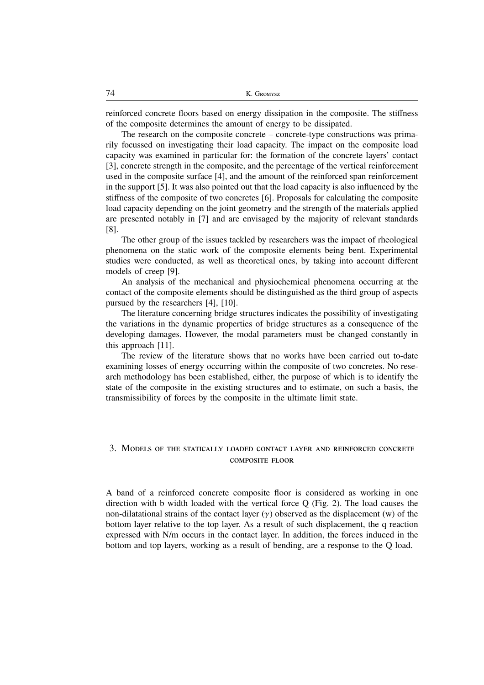reinforced concrete floors based on energy dissipation in the composite. The stiffness of the composite determines the amount of energy to be dissipated.

The research on the composite concrete – concrete-type constructions was primarily focussed on investigating their load capacity. The impact on the composite load capacity was examined in particular for: the formation of the concrete layers' contact [3], concrete strength in the composite, and the percentage of the vertical reinforcement used in the composite surface [4], and the amount of the reinforced span reinforcement in the support [5]. It was also pointed out that the load capacity is also influenced by the stiffness of the composite of two concretes [6]. Proposals for calculating the composite load capacity depending on the joint geometry and the strength of the materials applied are presented notably in [7] and are envisaged by the majority of relevant standards [8].

The other group of the issues tackled by researchers was the impact of rheological phenomena on the static work of the composite elements being bent. Experimental studies were conducted, as well as theoretical ones, by taking into account different models of creep [9].

An analysis of the mechanical and physiochemical phenomena occurring at the contact of the composite elements should be distinguished as the third group of aspects pursued by the researchers [4], [10].

The literature concerning bridge structures indicates the possibility of investigating the variations in the dynamic properties of bridge structures as a consequence of the developing damages. However, the modal parameters must be changed constantly in this approach [11].

The review of the literature shows that no works have been carried out to-date examining losses of energy occurring within the composite of two concretes. No research methodology has been established, either, the purpose of which is to identify the state of the composite in the existing structures and to estimate, on such a basis, the transmissibility of forces by the composite in the ultimate limit state.

## 3. MODELS OF THE STATICALLY LOADED CONTACT LAYER AND REINFORCED CONCRETE **COMPOSITE FLOOR**

A band of a reinforced concrete composite floor is considered as working in one direction with b width loaded with the vertical force Q (Fig. 2). The load causes the non-dilatational strains of the contact layer ( $\gamma$ ) observed as the displacement (w) of the bottom layer relative to the top layer. As a result of such displacement, the q reaction expressed with N/m occurs in the contact layer. In addition, the forces induced in the bottom and top layers, working as a result of bending, are a response to the Q load.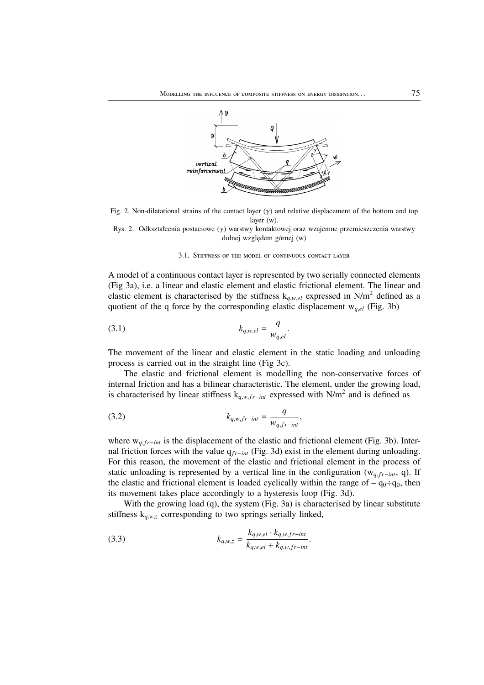

Fig. 2. Non-dilatational strains of the contact layer  $(\gamma)$  and relative displacement of the bottom and top layer (w).

Rys. 2. Odkształcenia postaciowe (γ) warstwy kontaktowej oraz wzajemne przemieszczenia warstwy dolnej względem górnej (w)

### 3.1. STIFFNESS OF THE MODEL OF CONTINUOUS CONTACT LAYER

A model of a continuous contact layer is represented by two serially connected elements (Fig 3a), i.e. a linear and elastic element and elastic frictional element. The linear and elastic element is characterised by the stiffness  $k_{q,w,el}$  expressed in N/m<sup>2</sup> defined as a quotient of the q force by the corresponding elastic displacement  $w_{q,el}$  (Fig. 3b)

$$
(3.1) \t\t k_{q,w,el} = \frac{q}{w_{q,el}}.
$$

The movement of the linear and elastic element in the static loading and unloading process is carried out in the straight line (Fig 3c).

The elastic and frictional element is modelling the non-conservative forces of internal friction and has a bilinear characteristic. The element, under the growing load, is characterised by linear stiffness  $k_{q,w,fr-int}$  expressed with N/m<sup>2</sup> and is defined as

$$
(3.2) \t\t k_{q,w,fr-int} = \frac{q}{w_{q,fr-int}},
$$

where w*q*,*fr*−*int* is the displacement of the elastic and frictional element (Fig. 3b). Internal friction forces with the value q*fr*−*int* (Fig. 3d) exist in the element during unloading. For this reason, the movement of the elastic and frictional element in the process of static unloading is represented by a vertical line in the configuration ( $w_{q,fr-int}$ , q). If the elastic and frictional element is loaded cyclically within the range of  $-q_0 \div q_0$ , then its movement takes place accordingly to a hysteresis loop (Fig. 3d).

With the growing load (q), the system (Fig. 3a) is characterised by linear substitute stiffness  $k_{q,w,z}$  corresponding to two springs serially linked,

(3.3) 
$$
k_{q,w,z} = \frac{k_{q,w,el} \cdot k_{q,w,fr-int}}{k_{q,w,el} + k_{q,w,fr-int}}.
$$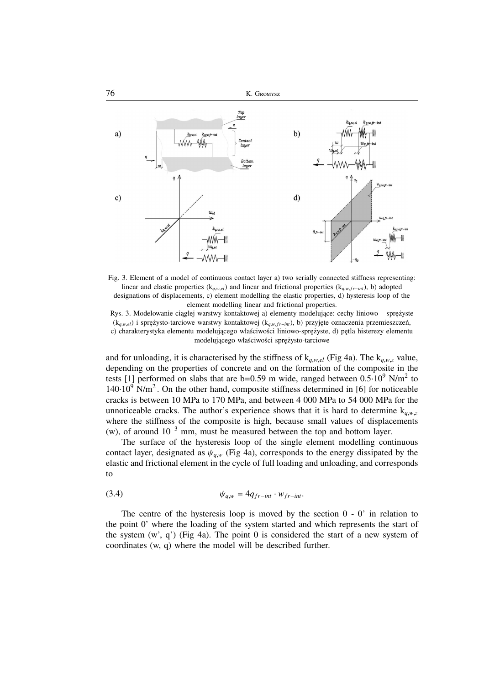

Fig. 3. Element of a model of continuous contact layer a) two serially connected stiffness representing: linear and elastic properties (k*q*,*w*,*el*) and linear and frictional properties (k*q*,*w*,*fr*−*int*), b) adopted designations of displacements, c) element modelling the elastic properties, d) hysteresis loop of the element modelling linear and frictional properties.

Rys. 3. Modelowanie ciągłej warstwy kontaktowej a) elementy modelujące: cechy liniowo – sprężyste (k*q*,*w*,*el*) i sprężysto-tarciowe warstwy kontaktowej (k*q*,*w*,*fr*−*int*), b) przyjęte oznaczenia przemieszczeń, c) charakterystyka elementu modelującego właściwości liniowo-sprężyste, d) pętla histerezy elementu modelującego właściwości sprężysto-tarciowe

and for unloading, it is characterised by the stiffness of  $k_{q,w,el}$  (Fig 4a). The  $k_{q,w,z}$  value, depending on the properties of concrete and on the formation of the composite in the tests [1] performed on slabs that are b=0.59 m wide, ranged between  $0.5 \cdot 10^9$  N/m<sup>2</sup> to  $140 \cdot 10^9$  N/m<sup>2</sup>. On the other hand, composite stiffness determined in [6] for noticeable cracks is between 10 MPa to 170 MPa, and between 4 000 MPa to 54 000 MPa for the unnoticeable cracks. The author's experience shows that it is hard to determine  $k_{q,w,z}$ where the stiffness of the composite is high, because small values of displacements (w), of around  $10^{-3}$  mm, must be measured between the top and bottom layer.

The surface of the hysteresis loop of the single element modelling continuous contact layer, designated as  $\psi_{q,w}$  (Fig 4a), corresponds to the energy dissipated by the elastic and frictional element in the cycle of full loading and unloading, and corresponds to

$$
\psi_{q,w} = 4q_{fr-int} \cdot w_{fr-int}.
$$

The centre of the hysteresis loop is moved by the section  $0 - 0'$  in relation to the point 0' where the loading of the system started and which represents the start of the system  $(w', q')$  (Fig 4a). The point 0 is considered the start of a new system of coordinates (w, q) where the model will be described further.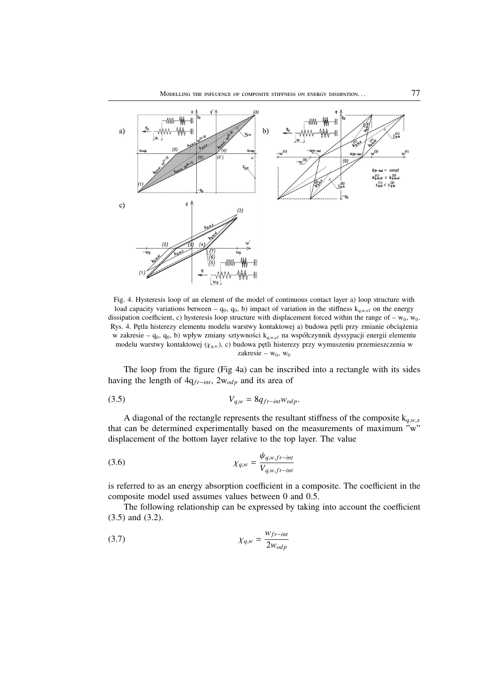

Fig. 4. Hysteresis loop of an element of the model of continuous contact layer a) loop structure with load capacity variations between –  $q_0$ ,  $q_0$ , b) impact of variation in the stiffness  $k_{q,w,el}$  on the energy dissipation coefficient, c) hysteresis loop structure with displacement forced within the range of  $-w_0$ ,  $w_0$ . Rys. 4. Pętla histerezy elementu modelu warstwy kontaktowej a) budowa pętli przy zmianie obciążenia w zakresie – q0, q0, b) wpływ zmiany sztywności k*q*,*w*,*el* na współczynnik dyssypacji energii elementu modelu warstwy kontaktowej (χ*q*,*w*), c) budowa pętli histerezy przy wymuszeniu przemieszczenia w zakresie –  $w_0$ ,  $w_0$ 

The loop from the figure (Fig 4a) can be inscribed into a rectangle with its sides having the length of 4q*fr*−*int*, 2w*odp* and its area of

$$
(3.5) \tV_{q,w} = 8q_{fr-int}w_{odp}.
$$

A diagonal of the rectangle represents the resultant stiffness of the composite  $k_{q,w,x}$ that can be determined experimentally based on the measurements of maximum "w" displacement of the bottom layer relative to the top layer. The value

$$
\chi_{q,w} = \frac{\psi_{q,w,fr-int}}{V_{q,w,fr-int}}
$$

is referred to as an energy absorption coefficient in a composite. The coefficient in the composite model used assumes values between 0 and 0.5.

The following relationship can be expressed by taking into account the coefficient (3.5) and (3.2).

$$
\chi_{q,w} = \frac{w_{fr-int}}{2w_{odp}}
$$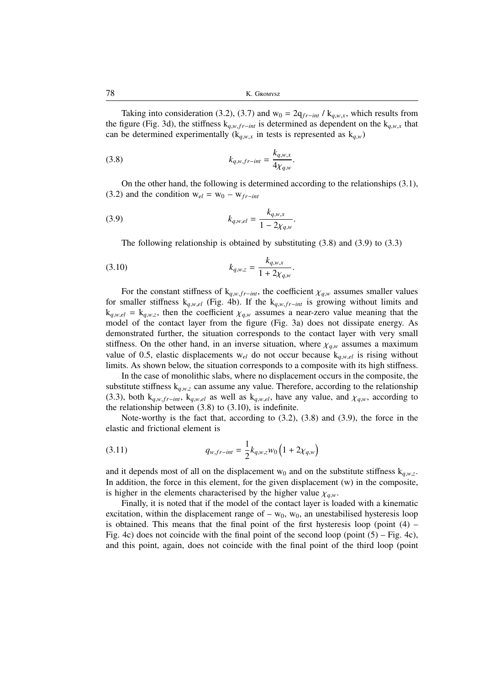Taking into consideration (3.2), (3.7) and  $w_0 = 2q_{fr-int} / k_{q,w,x}$ , which results from the figure (Fig. 3d), the stiffness  $k_{q,w,fr-int}$  is determined as dependent on the  $k_{q,w,x}$  that can be determined experimentally ( $k_{q,w,x}$  in tests is represented as  $k_{q,w}$ )

(3.8) 
$$
k_{q,w,fr-int} = \frac{k_{q,w,x}}{4\chi_{q,w}}.
$$

On the other hand, the following is determined according to the relationships (3.1), (3.2) and the condition  $w_{el} = w_0 - w_{fr-int}$ 

(3.9) 
$$
k_{q,w,el} = \frac{k_{q,w,x}}{1 - 2\chi_{q,w}}.
$$

The following relationship is obtained by substituting  $(3.8)$  and  $(3.9)$  to  $(3.3)$ 

(3.10) 
$$
k_{q,w,z} = \frac{k_{q,w,x}}{1 + 2\chi_{q,w}}.
$$

For the constant stiffness of  $k_{q,w,fr-int}$ , the coefficient  $\chi_{q,w}$  assumes smaller values for smaller stiffness k*q*,*w*,*el* (Fig. 4b). If the k*q*,*w*,*fr*−*int* is growing without limits and  $k_{q,w,el} = k_{q,w,z}$ , then the coefficient  $\chi_{q,w}$  assumes a near-zero value meaning that the model of the contact layer from the figure (Fig. 3a) does not dissipate energy. As demonstrated further, the situation corresponds to the contact layer with very small stiffness. On the other hand, in an inverse situation, where  $\chi_{q,w}$  assumes a maximum value of 0.5, elastic displacements  $w_{el}$  do not occur because  $k_{a,w,el}$  is rising without limits. As shown below, the situation corresponds to a composite with its high stiffness.

In the case of monolithic slabs, where no displacement occurs in the composite, the substitute stiffness  $k_{q,w,z}$  can assume any value. Therefore, according to the relationship (3.3), both  $k_{q,w,fr-int}$ ,  $k_{q,w,el}$  as well as  $k_{q,w,el}$ , have any value, and  $\chi_{q,w}$ , according to the relationship between  $(3.8)$  to  $(3.10)$ , is indefinite.

Note-worthy is the fact that, according to (3.2), (3.8) and (3.9), the force in the elastic and frictional element is

(3.11) 
$$
q_{w,fr-int} = \frac{1}{2} k_{q,w,z} w_0 \left( 1 + 2 \chi_{q,w} \right)
$$

and it depends most of all on the displacement w<sub>0</sub> and on the substitute stiffness  $k_{q,w,z}$ . In addition, the force in this element, for the given displacement (w) in the composite, is higher in the elements characterised by the higher value  $\chi_{q,w}$ .

Finally, it is noted that if the model of the contact layer is loaded with a kinematic excitation, within the displacement range of  $-w_0$ ,  $w_0$ , an unestabilised hysteresis loop is obtained. This means that the final point of the first hysteresis loop (point  $(4)$  – Fig. 4c) does not coincide with the final point of the second loop (point  $(5)$  – Fig. 4c), and this point, again, does not coincide with the final point of the third loop (point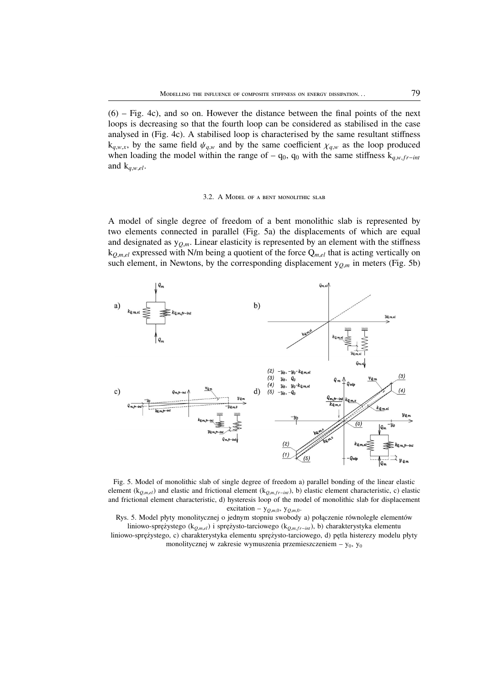(6) – Fig. 4c), and so on. However the distance between the final points of the next loops is decreasing so that the fourth loop can be considered as stabilised in the case analysed in (Fig. 4c). A stabilised loop is characterised by the same resultant stiffness  $k_{q,w,x}$ , by the same field  $\psi_{q,w}$  and by the same coefficient  $\chi_{q,w}$  as the loop produced when loading the model within the range of –  $q_0$ ,  $q_0$  with the same stiffness  $k_{q,w,fr-int}$ and  $k_{q,w,el}$ .

## 3.2. A MODEL OF A BENT MONOLITHIC SLAB

A model of single degree of freedom of a bent monolithic slab is represented by two elements connected in parallel (Fig. 5a) the displacements of which are equal and designated as  $y_{Q,m}$ . Linear elasticity is represented by an element with the stiffness  $k_{O,m,el}$  expressed with N/m being a quotient of the force  $Q_{m,el}$  that is acting vertically on such element, in Newtons, by the corresponding displacement  $y_{Q,m}$  in meters (Fig. 5b)



Fig. 5. Model of monolithic slab of single degree of freedom a) parallel bonding of the linear elastic element (k*Q*,*m*,*el*) and elastic and frictional element (k*Q*,*m*,*fr*−*int*), b) elastic element characteristic, c) elastic and frictional element characteristic, d) hysteresis loop of the model of monolithic slab for displacement excitation –  $y_{Q,m,0}$ ,  $y_{Q,m,0}$ .

Rys. 5. Model płyty monolitycznej o jednym stopniu swobody a) połączenie równoległe elementów liniowo-sprężystego (k*Q*,*m*,*el*) i sprężysto-tarciowego (k*Q*,*m*,*fr*−*int*), b) charakterystyka elementu liniowo-sprężystego, c) charakterystyka elementu sprężysto-tarciowego, d) pętla histerezy modelu płyty monolitycznej w zakresie wymuszenia przemieszczeniem –  $y_0$ ,  $y_0$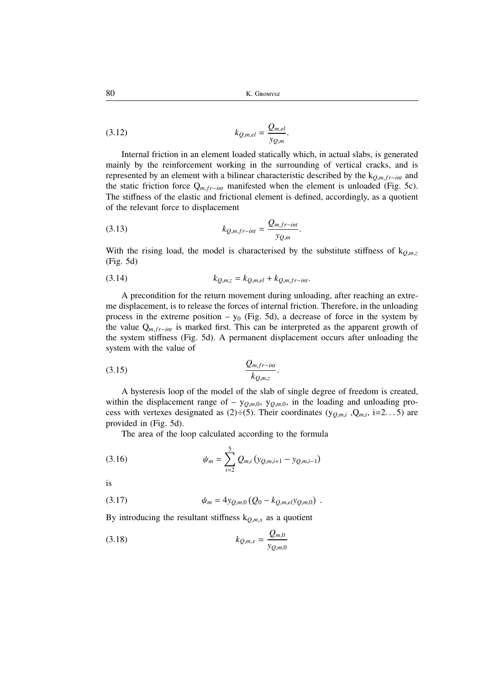80 K. GROMYSZ

(3.12) 
$$
k_{Q,m,el} = \frac{Q_{m,el}}{y_{Q,m}}.
$$

Internal friction in an element loaded statically which, in actual slabs, is generated mainly by the reinforcement working in the surrounding of vertical cracks, and is represented by an element with a bilinear characteristic described by the k*Q*,*m*,*fr*−*int* and the static friction force Q*m*,*fr*−*int* manifested when the element is unloaded (Fig. 5c). The stiffness of the elastic and frictional element is defined, accordingly, as a quotient of the relevant force to displacement

(3.13) 
$$
k_{Q,m,fr-int} = \frac{Q_{m,fr-int}}{y_{Q,m}}.
$$

With the rising load, the model is characterised by the substitute stiffness of  $k_{Q,m,z}$ (Fig. 5d)

(3.14) 
$$
k_{Q,m,z} = k_{Q,m,el} + k_{Q,m,fr-int}.
$$

A precondition for the return movement during unloading, after reaching an extreme displacement, is to release the forces of internal friction. Therefore, in the unloading process in the extreme position –  $y_0$  (Fig. 5d), a decrease of force in the system by the value Q*m*,*fr*−*int* is marked first. This can be interpreted as the apparent growth of the system stiffness (Fig. 5d). A permanent displacement occurs after unloading the system with the value of

$$
\frac{Q_{m,fr-int}}{k_{Q,m,z}}.
$$

A hysteresis loop of the model of the slab of single degree of freedom is created, within the displacement range of  $- y_{Q,m,0}$ ,  $y_{Q,m,0}$ , in the loading and unloading process with vertexes designated as (2)÷(5). Their coordinates ( $y_{Q,m,i}$ ,  $Q_{m,i}$ , i=2...5) are provided in (Fig. 5d).

The area of the loop calculated according to the formula

(3.16) 
$$
\psi_m = \sum_{i=2}^5 Q_{m,i} (y_{Q,m,i+1} - y_{Q,m,i-1})
$$

is

(3.17) 
$$
\psi_m = 4y_{Q,m,0} (Q_0 - k_{Q,m,el} y_{Q,m,0}) .
$$

By introducing the resultant stiffness  $k_{Q,m,x}$  as a quotient

(3.18) 
$$
k_{Q,m,x} = \frac{Q_{m,0}}{y_{Q,m,0}}
$$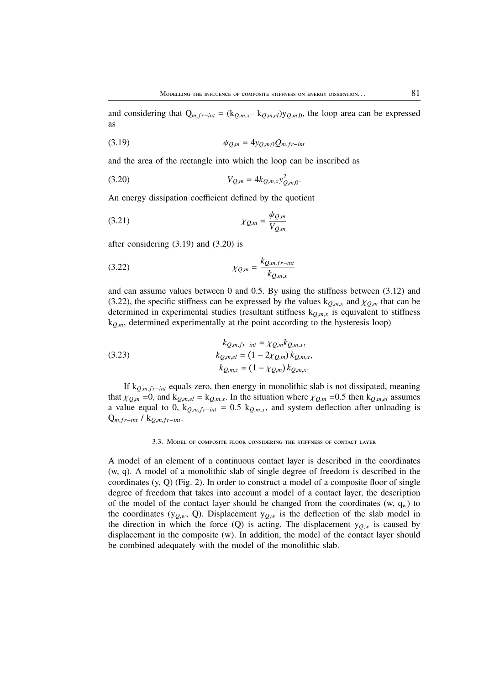and considering that  $Q_{m, fr-int} = (k_{Q,m,x} - k_{Q,m,el})y_{Q,m,0}$ , the loop area can be expressed as

(3.19) 
$$
\psi_{Q,m} = 4y_{Q,m,0}Q_{m,fr-int}
$$

and the area of the rectangle into which the loop can be inscribed as

$$
(3.20) \t\t V_{Q,m} = 4k_{Q,m,x}y_{Q,m,0}^2.
$$

An energy dissipation coefficient defined by the quotient

$$
\chi_{Q,m} = \frac{\psi_{Q,m}}{V_{Q,m}}
$$

after considering (3.19) and (3.20) is

(3.22) 
$$
\chi_{Q,m} = \frac{k_{Q,m,fr-int}}{k_{Q,m,x}}
$$

and can assume values between 0 and 0.5. By using the stiffness between (3.12) and (3.22), the specific stiffness can be expressed by the values  $k_{Q,m,x}$  and  $\chi_{Q,m}$  that can be determined in experimental studies (resultant stiffness  $k_{Q,m,x}$  is equivalent to stiffness  $k_{Q,m}$ , determined experimentally at the point according to the hysteresis loop)

(3.23) 
$$
k_{Q,m,fr-int} = \chi_{Q,m} k_{Q,m,x},
$$

$$
k_{Q,m,el} = (1 - 2\chi_{Q,m}) k_{Q,m,x},
$$

$$
k_{Q,m,z} = (1 - \chi_{Q,m}) k_{Q,m,x}.
$$

If k*Q*,*m*,*fr*−*int* equals zero, then energy in monolithic slab is not dissipated, meaning that  $\chi_{Q,m} = 0$ , and  $k_{Q,m,el} = k_{Q,m,x}$ . In the situation where  $\chi_{Q,m} = 0.5$  then  $k_{Q,m,el}$  assumes a value equal to 0,  $k_{Q,m,fr-int} = 0.5$   $k_{Q,m,x}$ , and system deflection after unloading is Q*m*,*fr*−*int* / k*Q*,*m*,*fr*−*int*.

### 3.3. MODEL OF COMPOSITE FLOOR CONSIDERING THE STIFFNESS OF CONTACT LAYER

A model of an element of a continuous contact layer is described in the coordinates (w, q). A model of a monolithic slab of single degree of freedom is described in the coordinates  $(y, Q)$  (Fig. 2). In order to construct a model of a composite floor of single degree of freedom that takes into account a model of a contact layer, the description of the model of the contact layer should be changed from the coordinates  $(w, q_w)$  to the coordinates ( $y_{Q,w}$ , Q). Displacement  $y_{Q,w}$  is the deflection of the slab model in the direction in which the force (Q) is acting. The displacement  $y_{Q,w}$  is caused by displacement in the composite (w). In addition, the model of the contact layer should be combined adequately with the model of the monolithic slab.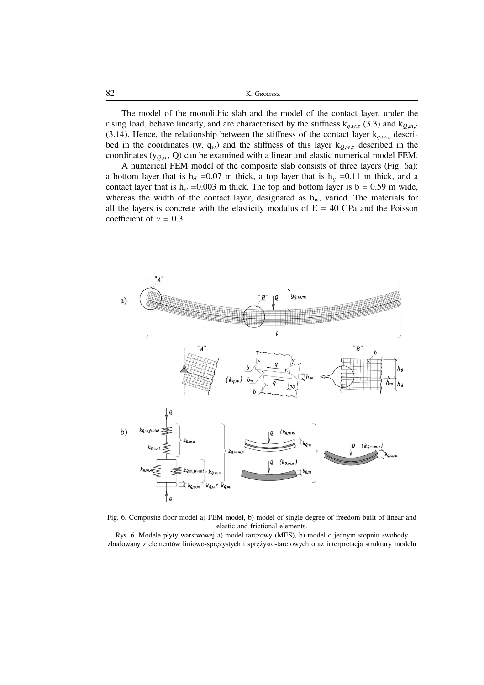The model of the monolithic slab and the model of the contact layer, under the rising load, behave linearly, and are characterised by the stiffness  $k_{q,w,z}$  (3.3) and  $k_{Q,m,z}$ (3.14). Hence, the relationship between the stiffness of the contact layer  $k_{q,w,z}$  described in the coordinates (w,  $q_w$ ) and the stiffness of this layer  $k_{Q,w,z}$  described in the coordinates  $(y<sub>O,w</sub>, Q)$  can be examined with a linear and elastic numerical model FEM.

A numerical FEM model of the composite slab consists of three layers (Fig. 6a): a bottom layer that is  $h_d = 0.07$  m thick, a top layer that is  $h_g = 0.11$  m thick, and a contact layer that is  $h_w = 0.003$  m thick. The top and bottom layer is  $b = 0.59$  m wide, whereas the width of the contact layer, designated as  $b_w$ , varied. The materials for all the layers is concrete with the elasticity modulus of  $E = 40$  GPa and the Poisson coefficient of  $v = 0.3$ .



Fig. 6. Composite floor model a) FEM model, b) model of single degree of freedom built of linear and elastic and frictional elements.

Rys. 6. Modele płyty warstwowej a) model tarczowy (MES), b) model o jednym stopniu swobody zbudowany z elementów liniowo-sprężystych i sprężysto-tarciowych oraz interpretacja struktury modelu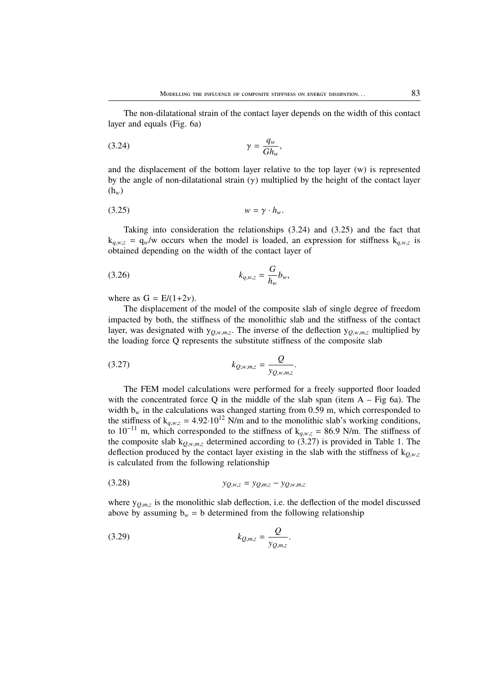The non-dilatational strain of the contact layer depends on the width of this contact layer and equals (Fig. 6a)

$$
\gamma = \frac{q_w}{G h_w},
$$

and the displacement of the bottom layer relative to the top layer (w) is represented by the angle of non-dilatational strain  $(y)$  multiplied by the height of the contact layer (h*w*)

$$
(3.25) \t\t\t w = \gamma \cdot h_w.
$$

Taking into consideration the relationships (3.24) and (3.25) and the fact that  $k_{q,w,z} = q_w/w$  occurs when the model is loaded, an expression for stiffness  $k_{q,w,z}$  is obtained depending on the width of the contact layer of

(3.26)

\n
$$
k_{q,w,z} = \frac{G}{h_w} b_w,
$$

where as  $G = E/(1+2\nu)$ .

The displacement of the model of the composite slab of single degree of freedom impacted by both, the stiffness of the monolithic slab and the stiffness of the contact layer, was designated with  $y_{Q,w,m,z}$ . The inverse of the deflection  $y_{Q,w,m,z}$  multiplied by the loading force Q represents the substitute stiffness of the composite slab

(3.27) 
$$
k_{Q,w,m,z} = \frac{Q}{y_{Q,w,m,z}}.
$$

The FEM model calculations were performed for a freely supported floor loaded with the concentrated force  $Q$  in the middle of the slab span (item  $A$  – Fig 6a). The width  $b_w$  in the calculations was changed starting from 0.59 m, which corresponded to the stiffness of  $k_{q,w,z} = 4.92 \cdot 10^{12}$  N/m and to the monolithic slab's working conditions, to  $10^{-11}$  m, which corresponded to the stiffness of  $k_{q,w,z} = 86.9$  N/m. The stiffness of the composite slab  $k_{Q,w,m,z}$  determined according to (3.27) is provided in Table 1. The deflection produced by the contact layer existing in the slab with the stiffness of k*Q*,*w*,*<sup>z</sup>* is calculated from the following relationship

$$
(3.28) \t\t y_{Q,w,z} = y_{Q,m,z} - y_{Q,w,m,z}
$$

where  $y_{Q,m,z}$  is the monolithic slab deflection, i.e. the deflection of the model discussed above by assuming  $b_w = b$  determined from the following relationship

(3.29) 
$$
k_{Q,m,z} = \frac{Q}{y_{Q,m,z}}.
$$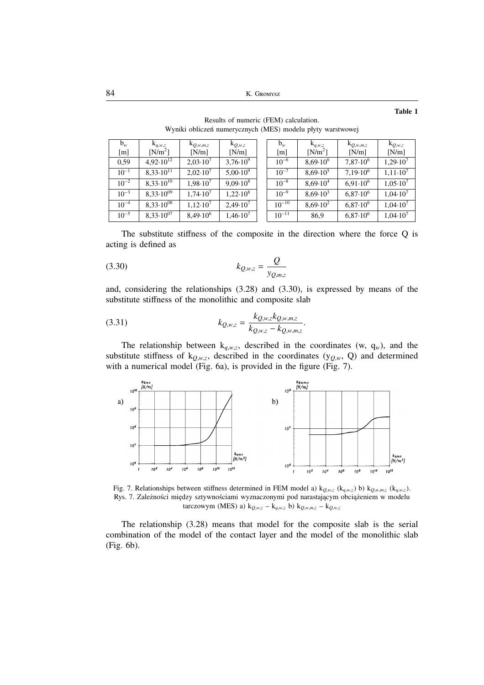**Table 1**

| $b_w$             | $K_{q,w,z}$          | $\mathrm{k}_{Q,w,m,z}$ | $k_{Q,w,z}$       | $\mathbf{b}_w$ | $K_{q,w,z}$   | $K_{Q,w,m,z}$       | $k_{Q,w,z}$         |
|-------------------|----------------------|------------------------|-------------------|----------------|---------------|---------------------|---------------------|
| $\lceil m \rceil$ | $[N/m^2]$            | [N/m]                  | [N/m]             | [m]            | $[N/m^2]$     | [N/m]               | [N/m]               |
| 0.59              | $4,92 \cdot 10^{12}$ | 2,03.10'               | $3,76.10^9$       | $10^{-6}$      | $8,69.10^{6}$ | $7,87.10^{6}$       | $1,29.10^{7}$       |
| $10^{-1}$         | $8,33 \cdot 10^{11}$ | $2,02\cdot10^{7}$      | $5,00.10^9$       | $10^{-7}$      | $8,69.10^{5}$ | $7.19 \cdot 10^{6}$ | $1,11 \cdot 10^{7}$ |
| $10^{-2}$         | $8,33 \cdot 10^{10}$ | $1,98.10^{7}$          | $9,09.10^8$       | $10^{-8}$      | $8,69.10^{4}$ | $6,91 \cdot 10^6$   | $1,05 \cdot 10^{7}$ |
| $10^{-3}$         | $8,33 \cdot 10^{09}$ | $1,74.10^{7}$          | $1,22 \cdot 10^8$ | $10^{-9}$      | $8,69.10^{3}$ | $6,87.10^{6}$       | $1,04\cdot10^{7}$   |
| $10^{-4}$         | $8,33 \cdot 10^{08}$ | $1,12 \cdot 10^7$      | $2,49.10^{7}$     | $10^{-10}$     | $8,69.10^2$   | $6,87.10^{6}$       | $1,04\cdot10^{7}$   |
| $10^{-5}$         | $8,33 \cdot 10^{07}$ | $8,49.10^{6}$          | $1,46.10^{7}$     | $10^{-11}$     | 86,9          | $6,87.10^{6}$       | $1,04\cdot10^{7}$   |

Results of numeric (FEM) calculation. Wyniki obliczeń numerycznych (MES) modelu płyty warstwowej

The substitute stiffness of the composite in the direction where the force Q is acting is defined as

(3.30) 
$$
k_{Q,w,z} = \frac{Q}{y_{Q,m,z}}
$$

and, considering the relationships (3.28) and (3.30), is expressed by means of the substitute stiffness of the monolithic and composite slab

(3.31) 
$$
k_{Q,w,z} = \frac{k_{Q,w,z}k_{Q,w,m,z}}{k_{Q,w,z} - k_{Q,w,m,z}}.
$$

The relationship between  $k_{q,w,z}$ , described in the coordinates (w,  $q_w$ ), and the substitute stiffness of  $k_{Q,w,z}$ , described in the coordinates  $(y_{Q,w}, Q)$  and determined with a numerical model (Fig. 6a), is provided in the figure (Fig. 7).



Fig. 7. Relationships between stiffness determined in FEM model a) k*Q*,*w*,*<sup>z</sup>* (k*q*,*w*,*z*) b) k*Q*,*w*,*m*,*<sup>z</sup>* (k*q*,*w*,*z*). Rys. 7. Zależności między sztywnościami wyznaczonymi pod narastającym obciążeniem w modelu tarczowym (MES) a)  $k_{Q,w,z} - k_{q,w,z}$  b)  $k_{Q,w,m,z} - k_{Q,w,z}$ 

The relationship (3.28) means that model for the composite slab is the serial combination of the model of the contact layer and the model of the monolithic slab (Fig. 6b).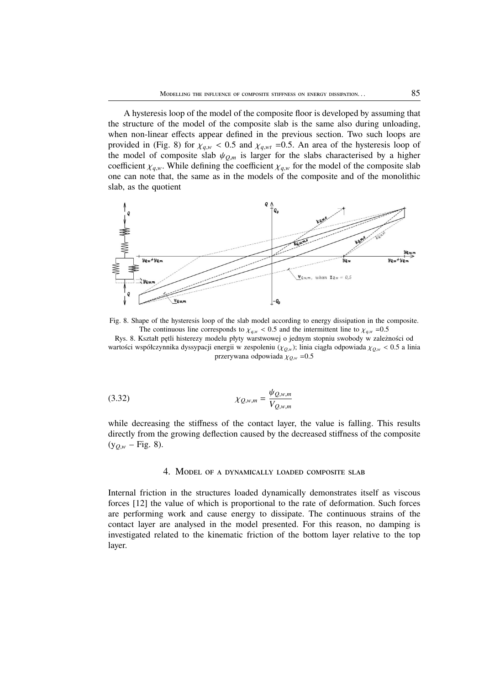A hysteresis loop of the model of the composite floor is developed by assuming that the structure of the model of the composite slab is the same also during unloading, when non-linear effects appear defined in the previous section. Two such loops are provided in (Fig. 8) for  $\chi_{q,w}$  < 0.5 and  $\chi_{q,wt}$  =0.5. An area of the hysteresis loop of the model of composite slab  $\psi_{Q,m}$  is larger for the slabs characterised by a higher coefficient  $\chi_{q,w}$ . While defining the coefficient  $\chi_{q,w}$  for the model of the composite slab one can note that, the same as in the models of the composite and of the monolithic slab, as the quotient



Fig. 8. Shape of the hysteresis loop of the slab model according to energy dissipation in the composite. The continuous line corresponds to  $\chi_{q,w}$  < 0.5 and the intermittent line to  $\chi_{q,w}$  =0.5 Rys. 8. Kształt pętli histerezy modelu płyty warstwowej o jednym stopniu swobody w zależności od wartości współczynnika dyssypacji energii w zespoleniu (χ*Q*,*w*); linia ciągła odpowiada χ*Q*,*<sup>w</sup>* < 0.5 a linia przerywana odpowiada  $\chi_{Q,w}$  =0.5

(3.32) 
$$
\chi_{Q,w,m} = \frac{\psi_{Q,w,m}}{V_{Q,w,m}}
$$

while decreasing the stiffness of the contact layer, the value is falling. This results directly from the growing deflection caused by the decreased stiffness of the composite  $(y_{Q,w} - Fig. 8).$ 

### 4. MODEL OF A DYNAMICALLY LOADED COMPOSITE SLAB

Internal friction in the structures loaded dynamically demonstrates itself as viscous forces [12] the value of which is proportional to the rate of deformation. Such forces are performing work and cause energy to dissipate. The continuous strains of the contact layer are analysed in the model presented. For this reason, no damping is investigated related to the kinematic friction of the bottom layer relative to the top layer.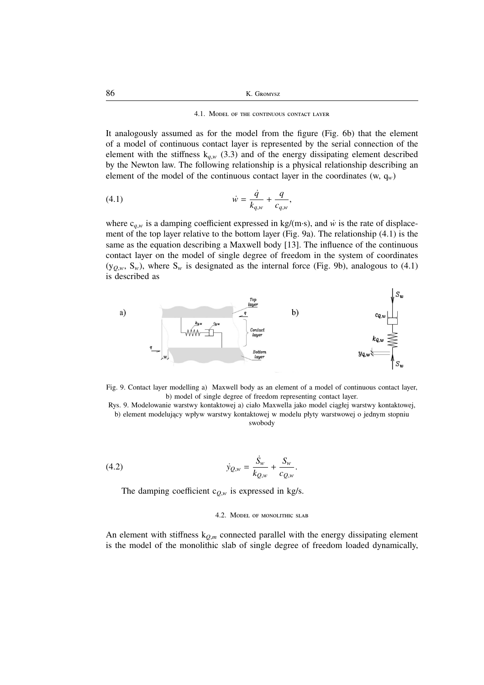#### 4.1. MODEL OF THE CONTINUOUS CONTACT LAYER

It analogously assumed as for the model from the figure (Fig. 6b) that the element of a model of continuous contact layer is represented by the serial connection of the element with the stiffness  $k_{q,w}$  (3.3) and of the energy dissipating element described by the Newton law. The following relationship is a physical relationship describing an element of the model of the continuous contact layer in the coordinates  $(w, q_w)$ 

(4.1) 
$$
\dot{w} = \frac{\dot{q}}{k_{q,w}} + \frac{q}{c_{q,w}},
$$

where  $c_{q,w}$  is a damping coefficient expressed in kg/(m·s), and  $\dot{w}$  is the rate of displacement of the top layer relative to the bottom layer (Fig. 9a). The relationship (4.1) is the same as the equation describing a Maxwell body [13]. The influence of the continuous contact layer on the model of single degree of freedom in the system of coordinates  $(y_{Q,w}, S_w)$ , where  $S_w$  is designated as the internal force (Fig. 9b), analogous to (4.1) is described as



Fig. 9. Contact layer modelling a) Maxwell body as an element of a model of continuous contact layer, b) model of single degree of freedom representing contact layer.

Rys. 9. Modelowanie warstwy kontaktowej a) ciało Maxwella jako model ciągłej warstwy kontaktowej, b) element modelujący wpływ warstwy kontaktowej w modelu płyty warstwowej o jednym stopniu swobody

(4.2) 
$$
\dot{y}_{Q,w} = \frac{\dot{S}_w}{k_{Q,w}} + \frac{S_w}{c_{Q,w}}
$$

The damping coefficient  $c_{Q,w}$  is expressed in kg/s.

#### 4.2. MODEL OF MONOLITHIC SLAB

.

An element with stiffness  $k_{Q,m}$  connected parallel with the energy dissipating element is the model of the monolithic slab of single degree of freedom loaded dynamically,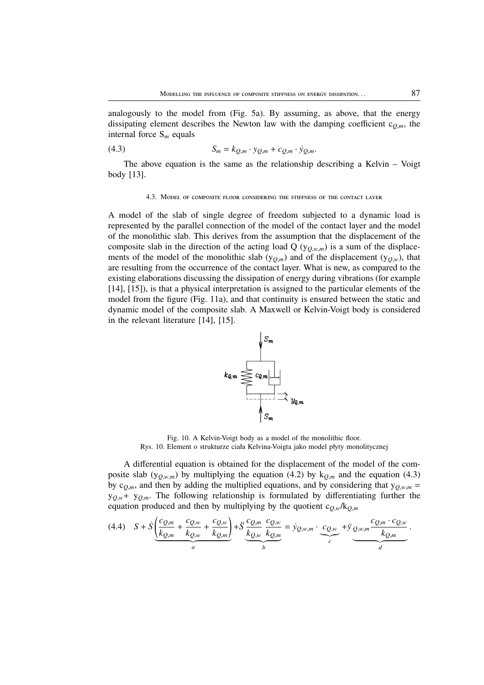analogously to the model from (Fig. 5a). By assuming, as above, that the energy dissipating element describes the Newton law with the damping coefficient  $c_{Q,m}$ , the internal force S*<sup>m</sup>* equals

(4.3) 
$$
S_m = k_{Q,m} \cdot y_{Q,m} + c_{Q,m} \cdot y_{Q,m}.
$$

The above equation is the same as the relationship describing a Kelvin – Voigt body [13].

### 4.3. MODEL OF COMPOSITE FLOOR CONSIDERING THE STIFFNESS OF THE CONTACT LAYER

A model of the slab of single degree of freedom subjected to a dynamic load is represented by the parallel connection of the model of the contact layer and the model of the monolithic slab. This derives from the assumption that the displacement of the composite slab in the direction of the acting load Q ( $y_{Q,w,m}$ ) is a sum of the displacements of the model of the monolithic slab ( $y_{Q,m}$ ) and of the displacement ( $y_{Q,w}$ ), that are resulting from the occurrence of the contact layer. What is new, as compared to the existing elaborations discussing the dissipation of energy during vibrations (for example [14], [15]), is that a physical interpretation is assigned to the particular elements of the model from the figure (Fig. 11a), and that continuity is ensured between the static and dynamic model of the composite slab. A Maxwell or Kelvin-Voigt body is considered in the relevant literature [14], [15].



Fig. 10. A Kelvin-Voigt body as a model of the monolithic floor. Rys. 10. Element o strukturze ciała Kelvina-Voigta jako model płyty monolitycznej

A differential equation is obtained for the displacement of the model of the composite slab ( $y_{Q,w,m}$ ) by multiplying the equation (4.2) by  $k_{Q,m}$  and the equation (4.3) by  $c_{Q,m}$ , and then by adding the multiplied equations, and by considering that  $y_{Q,w,m}$  =  $y_{Q,w}$ +  $y_{Q,m}$ . The following relationship is formulated by differentiating further the equation produced and then by multiplying by the quotient c*Q*,*w*/k*Q*,*<sup>m</sup>*  $\sim$   $\sim$   $\sim$   $\sim$   $\sim$ 

$$
(4.4) \quad S + \dot{S} \underbrace{\left(\frac{c_{Q,m}}{k_{Q,m}} + \frac{c_{Q,w}}{k_{Q,w}} + \frac{c_{Q,w}}{k_{Q,m}}\right)}_{a} + \ddot{S} \underbrace{\frac{c_{Q,m}}{k_{Q,w}} \frac{c_{Q,w}}{k_{Q,m}}}_{b} = \dot{y}_{Q,w,m} \cdot \underbrace{c_{Q,w}}_{c} + \ddot{y}_{Q,w,m} \underbrace{\frac{c_{Q,m} \cdot c_{Q,w}}{k_{Q,m}}}_{d}.
$$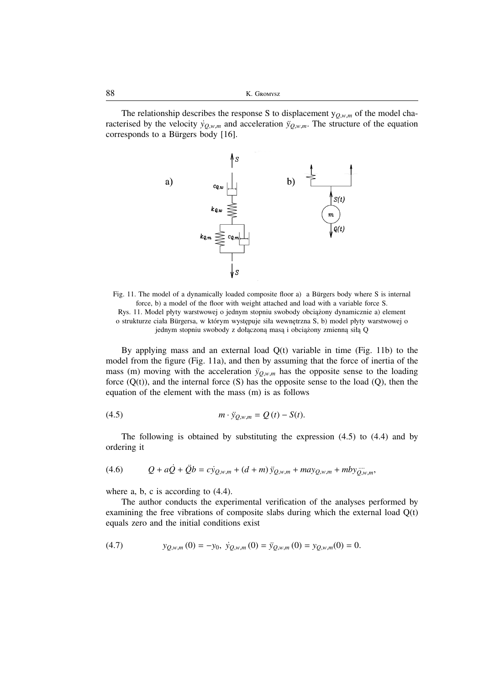The relationship describes the response S to displacement  $y_{Q,w,m}$  of the model characterised by the velocity  $\dot{y}_{Q,w,m}$  and acceleration  $\ddot{y}_{Q,w,m}$ . The structure of the equation corresponds to a Bürgers body [16].



Fig. 11. The model of a dynamically loaded composite floor a) a Bürgers body where S is internal force, b) a model of the floor with weight attached and load with a variable force S. Rys. 11. Model płyty warstwowej o jednym stopniu swobody obciążony dynamicznie a) element o strukturze ciała Burgersa, w którym występuje siła wewnętrzna S, b) model płyty warstwowej o ¨ jednym stopniu swobody z dołączoną masą i obciążony zmienną siłą Q

By applying mass and an external load  $Q(t)$  variable in time (Fig. 11b) to the model from the figure (Fig. 11a), and then by assuming that the force of inertia of the mass (m) moving with the acceleration  $\ddot{y}_{Q,w,m}$  has the opposite sense to the loading force  $(Q(t))$ , and the internal force  $(S)$  has the opposite sense to the load  $(Q)$ , then the equation of the element with the mass (m) is as follows

$$
(4.5) \t\t m \cdot \ddot{y}_{Q,w,m} = Q(t) - S(t).
$$

The following is obtained by substituting the expression (4.5) to (4.4) and by ordering it

,

(4.6) 
$$
Q + a\dot{Q} + \ddot{Q}b = cy_{Q,w,m} + (d+m)\ddot{y}_{Q,w,m} + may_{Q,w,m} + mby_{Q,w,m}^{\dots}
$$

where a, b, c is according to  $(4.4)$ .

The author conducts the experimental verification of the analyses performed by examining the free vibrations of composite slabs during which the external load Q(t) equals zero and the initial conditions exist

(4.7) 
$$
y_{Q,w,m}(0) = -y_0, \ \dot{y}_{Q,w,m}(0) = \ddot{y}_{Q,w,m}(0) = y_{Q,w,m}(0) = 0.
$$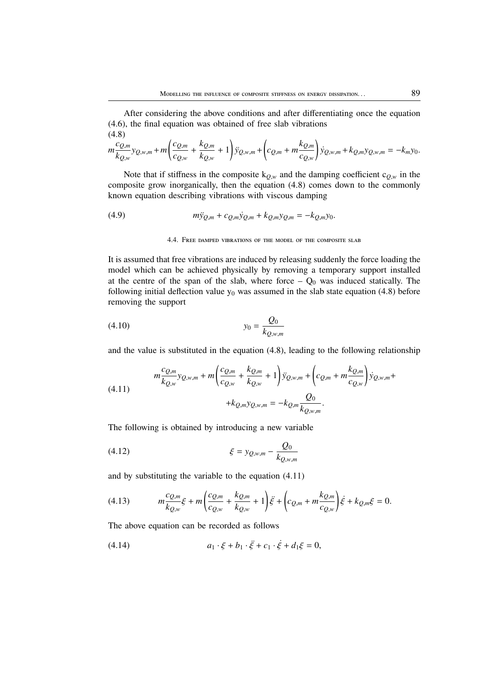After considering the above conditions and after differentiating once the equation (4.6), the final equation was obtained of free slab vibrations (4.8)

$$
(4.8)
$$
  

$$
m\frac{c_{Q,m}}{k_{Q,w}}y_{Q,w,m} + m\left(\frac{c_{Q,m}}{c_{Q,w}} + \frac{k_{Q,m}}{k_{Q,w}} + 1\right)\ddot{y}_{Q,w,m} + \left(c_{Q,m} + m\frac{k_{Q,m}}{c_{Q,w}}\right)\dot{y}_{Q,w,m} + k_{Q,m}\dot{y}_{Q,w,m} = -k_m\dot{y}_0.
$$

Note that if stiffness in the composite  $k_{Q,w}$  and the damping coefficient  $c_{Q,w}$  in the composite grow inorganically, then the equation (4.8) comes down to the commonly known equation describing vibrations with viscous damping

(4.9) 
$$
m\ddot{y}_{Q,m} + c_{Q,m}\dot{y}_{Q,m} + k_{Q,m}y_{Q,m} = -k_{Q,m}y_0.
$$

## 4.4. FREE DAMPED VIBRATIONS OF THE MODEL OF THE COMPOSITE SLAB

It is assumed that free vibrations are induced by releasing suddenly the force loading the model which can be achieved physically by removing a temporary support installed at the centre of the span of the slab, where force  $-Q<sub>0</sub>$  was induced statically. The following initial deflection value  $y_0$  was assumed in the slab state equation (4.8) before removing the support

(4.10) 
$$
y_0 = \frac{Q_0}{k_{Q,w,m}}
$$

and the value is substituted in the equation (4.8), leading to the following relationship

(4.11) 
$$
m \frac{c_{Q,m}}{k_{Q,w}} y_{Q,w,m} + m \left( \frac{c_{Q,m}}{c_{Q,w}} + \frac{k_{Q,m}}{k_{Q,w}} + 1 \right) \ddot{y}_{Q,w,m} + \left( c_{Q,m} + m \frac{k_{Q,m}}{c_{Q,w}} \right) \dot{y}_{Q,w,m} +
$$

$$
+ k_{Q,m} y_{Q,w,m} = -k_{Q,m} \frac{Q_0}{k_{Q,w,m}}.
$$

The following is obtained by introducing a new variable

(4.12) 
$$
\xi = y_{Q,w,m} - \frac{Q_0}{k_{Q,w,m}}
$$

and by substituting the variable to the equation (4.11)

(4.13) 
$$
m \frac{c_{Q,m}}{k_{Q,w}} \xi + m \left( \frac{c_{Q,m}}{c_{Q,w}} + \frac{k_{Q,m}}{k_{Q,w}} + 1 \right) \ddot{\xi} + \left( c_{Q,m} + m \frac{k_{Q,m}}{c_{Q,w}} \right) \dot{\xi} + k_{Q,m} \xi = 0.
$$

The above equation can be recorded as follows

(4.14) 
$$
a_1 \cdot \xi + b_1 \cdot \ddot{\xi} + c_1 \cdot \dot{\xi} + d_1 \xi = 0,
$$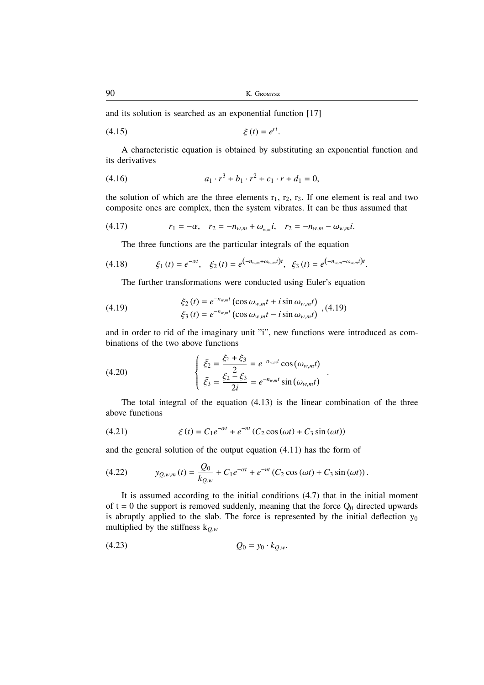and its solution is searched as an exponential function [17]

$$
(4.15) \qquad \qquad \xi(t) = e^{rt}.
$$

A characteristic equation is obtained by substituting an exponential function and its derivatives

(4.16) 
$$
a_1 \cdot r^3 + b_1 \cdot r^2 + c_1 \cdot r + d_1 = 0,
$$

the solution of which are the three elements  $r_1$ ,  $r_2$ ,  $r_3$ . If one element is real and two composite ones are complex, then the system vibrates. It can be thus assumed that

(4.17) 
$$
r_1 = -\alpha, \quad r_2 = -n_{w,m} + \omega_{w,m} i, \quad r_2 = -n_{w,m} - \omega_{w,m} i.
$$

The three functions are the particular integrals of the equation

$$
(4.18) \t\t \xi_1(t) = e^{-\alpha t}, \quad \xi_2(t) = e^{(-n_{w,m} + \omega_{w,m}t)t}, \quad \xi_3(t) = e^{(-n_{w,m} - \omega_{w,m}t)t}.
$$

The further transformations were conducted using Euler's equation

(4.19) 
$$
\xi_2(t) = e^{-n_{w,m}t} (\cos \omega_{w,m}t + i \sin \omega_{w,m}t) \n\xi_3(t) = e^{-n_{w,m}t} (\cos \omega_{w,m}t - i \sin \omega_{w,m}t)
$$
(4.19)

and in order to rid of the imaginary unit "i", new functions were introduced as combinations of the two above functions

.

(4.20) 
$$
\begin{cases} \bar{\xi}_2 = \frac{\xi_2 + \xi_3}{2} = e^{-n_{w,m}t} \cos{(\omega_{w,m}t)} \\ \bar{\xi}_3 = \frac{\xi_2 - \xi_3}{2i} = e^{-n_{w,m}t} \sin{(\omega_{w,m}t)} \end{cases}
$$

The total integral of the equation (4.13) is the linear combination of the three above functions

(4.21) 
$$
\xi(t) = C_1 e^{-\alpha t} + e^{-nt} (C_2 \cos(\omega t) + C_3 \sin(\omega t))
$$

and the general solution of the output equation (4.11) has the form of

(4.22) 
$$
y_{Q,w,m}(t) = \frac{Q_0}{k_{Q,w}} + C_1 e^{-\alpha t} + e^{-nt} (C_2 \cos(\omega t) + C_3 \sin(\omega t)).
$$

It is assumed according to the initial conditions (4.7) that in the initial moment of  $t = 0$  the support is removed suddenly, meaning that the force  $Q_0$  directed upwards is abruptly applied to the slab. The force is represented by the initial deflection  $y_0$ multiplied by the stiffness  $k_{Q,w}$ 

$$
(4.23) \t\t Q_0 = y_0 \cdot k_{Q,w}.
$$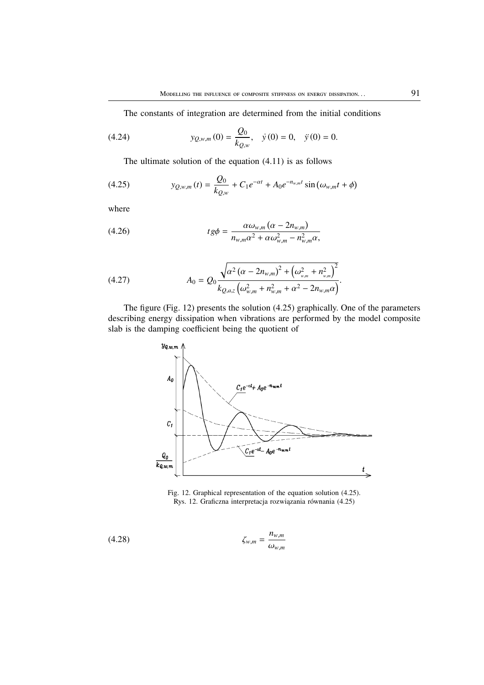The constants of integration are determined from the initial conditions

(4.24) 
$$
y_{Q,w,m}(0) = \frac{Q_0}{k_{Q,w}}, \quad \dot{y}(0) = 0, \quad \ddot{y}(0) = 0.
$$

The ultimate solution of the equation (4.11) is as follows

(4.25) 
$$
y_{Q,w,m}(t) = \frac{Q_0}{k_{Q,w}} + C_1 e^{-\alpha t} + A_0 e^{-n_{w,m}t} \sin(\omega_{w,m}t + \phi)
$$

where

(4.26) 
$$
tg\phi = \frac{\alpha \omega_{w,m} (\alpha - 2n_{w,m})}{n_{w,m} \alpha^2 + \alpha \omega_{w,m}^2 - n_{w,m}^2 \alpha},
$$

(4.27) 
$$
A_0 = Q_0 \frac{\sqrt{\alpha^2 (\alpha - 2n_{w,m})^2 + (\omega_{w,m}^2 + n_{w,m}^2)^2}}{k_{Q,a,z} (\omega_{w,m}^2 + n_{w,m}^2 + \alpha^2 - 2n_{w,m}\alpha)}.
$$

The figure (Fig. 12) presents the solution (4.25) graphically. One of the parameters describing energy dissipation when vibrations are performed by the model composite slab is the damping coefficient being the quotient of



Fig. 12. Graphical representation of the equation solution (4.25). Rys. 12. Graficzna interpretacja rozwiązania równania (4.25)

$$
\zeta_{w,m} = \frac{n_{w,m}}{\omega_{w,m}}
$$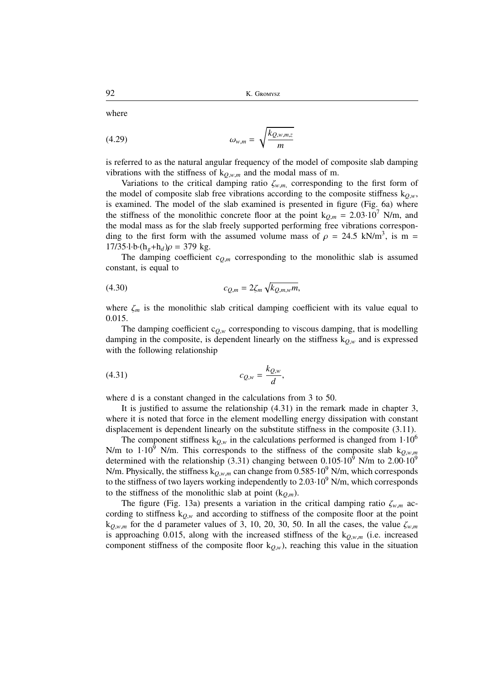where

$$
\omega_{w,m} = \sqrt{\frac{k_{Q,w,m,z}}{m}}
$$

is referred to as the natural angular frequency of the model of composite slab damping vibrations with the stiffness of  $k_{Q,w,m}$  and the modal mass of m.

Variations to the critical damping ratio  $\zeta_{w,m}$  corresponding to the first form of the model of composite slab free vibrations according to the composite stiffness  $k_{Q,w}$ , is examined. The model of the slab examined is presented in figure (Fig. 6a) where the stiffness of the monolithic concrete floor at the point  $k_{Q,m} = 2.03 \cdot 10^7$  N/m, and the modal mass as for the slab freely supported performing free vibrations corresponding to the first form with the assumed volume mass of  $\rho = 24.5 \text{ kN/m}^3$ , is m =  $17/35 \cdot 1 \cdot b \cdot (h_g + h_d) \rho = 379 \text{ kg}.$ 

The damping coefficient  $c_{Q,m}$  corresponding to the monolithic slab is assumed constant, is equal to

(4.30) 
$$
c_{Q,m} = 2\zeta_m \sqrt{k_{Q,m,w}m},
$$

where  $\zeta_m$  is the monolithic slab critical damping coefficient with its value equal to 0.015.

The damping coefficient  $c_{Q,w}$  corresponding to viscous damping, that is modelling damping in the composite, is dependent linearly on the stiffness  $k_{Q,w}$  and is expressed with the following relationship

(4.31) 
$$
c_{Q,w} = \frac{k_{Q,w}}{d},
$$

where d is a constant changed in the calculations from 3 to 50.

It is justified to assume the relationship (4.31) in the remark made in chapter 3, where it is noted that force in the element modelling energy dissipation with constant displacement is dependent linearly on the substitute stiffness in the composite (3.11).

The component stiffness  $k_{Q,w}$  in the calculations performed is changed from  $1.10^6$ N/m to 1.10<sup>9</sup> N/m. This corresponds to the stiffness of the composite slab  $k_{Q,w,m}$ determined with the relationship (3.31) changing between  $0.105 \cdot 10^6$  N/m to  $2.00 \cdot 10^9$ N/m. Physically, the stiffness  $k_{Q,w,m}$  can change from 0.585 $\cdot 10^9$  N/m, which corresponds to the stiffness of two layers working independently to  $2.03 \cdot 10^9$  N/m, which corresponds to the stiffness of the monolithic slab at point  $(k_{Q,m})$ .

The figure (Fig. 13a) presents a variation in the critical damping ratio  $\zeta_{w,m}$  according to stiffness  $k_{Q,w}$  and according to stiffness of the composite floor at the point  $k_{Q,w,m}$  for the d parameter values of 3, 10, 20, 30, 50. In all the cases, the value  $\zeta_{w,m}$ is approaching 0.015, along with the increased stiffness of the  $k_{Q,w,m}$  (i.e. increased component stiffness of the composite floor  $k_{Q,w}$ ), reaching this value in the situation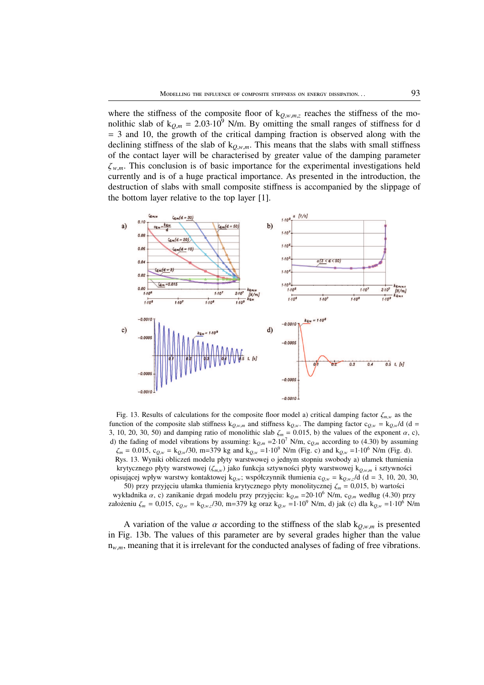where the stiffness of the composite floor of  $k_{Q,w,m,z}$  reaches the stiffness of the monolithic slab of  $k_{Q,m} = 2.03 \cdot 10^9$  N/m. By omitting the small ranges of stiffness for d  $= 3$  and 10, the growth of the critical damping fraction is observed along with the declining stiffness of the slab of  $k_{Q,w,m}$ . This means that the slabs with small stiffness of the contact layer will be characterised by greater value of the damping parameter  $\zeta_{w,m}$ . This conclusion is of basic importance for the experimental investigations held currently and is of a huge practical importance. As presented in the introduction, the destruction of slabs with small composite stiffness is accompanied by the slippage of the bottom layer relative to the top layer [1].



Fig. 13. Results of calculations for the composite floor model a) critical damping factor  $\zeta_{m,w}$  as the function of the composite slab stiffness  $k_{Q,w,m}$  and stiffness  $k_{Q,w}$ . The damping factor  $c_{Q,w} = k_{Q,w}/d$  (d = 3, 10, 20, 30, 50) and damping ratio of monolithic slab  $\zeta_m = 0.015$ , b) the values of the exponent  $\alpha$ , c), d) the fading of model vibrations by assuming:  $k_{Q,m} = 2 \cdot 10^7$  N/m,  $c_{Q,m}$  according to (4.30) by assuming  $\zeta_m = 0.015$ ,  $c_{Q,w} = k_{Q,w}/30$ , m=379 kg and  $k_{Q,w} = 1.10^9$  N/m (Fig. c) and  $k_{Q,w} = 1.10^6$  N/m (Fig. d).

Rys. 13. Wyniki obliczeń modelu płyty warstwowej o jednym stopniu swobody a) ułamek tłumienia krytycznego płyty warstwowej (ζ*m*,*w*) jako funkcja sztywności płyty warstwowej k*Q*,*w*,*<sup>m</sup>* i sztywności opisującej wpływ warstwy kontaktowej k*Q*,*w*; współczynnik tłumienia c*Q*,*<sup>w</sup>* = k*Q*,*w*,*<sup>z</sup>* /d (d = 3, 10, 20, 30,

50) przy przyjęciu ułamka tłumienia krytycznego płyty monolitycznej ζ*<sup>m</sup>* = 0,015, b) wartości wykładnika α, c) zanikanie drgań modelu przy przyjęciu: k*Q*,*<sup>m</sup>* =20·10<sup>6</sup> N/m, c*Q*,*<sup>m</sup>* według (4.30) przy założeniu  $\zeta_m = 0.015$ ,  $c_{Q,w} = k_{Q,w,z}/30$ , m=379 kg oraz k<sub>Q</sub>,*w* =1·10<sup>9</sup> N/m, d) jak (c) dla k<sub>Q</sub>,*w* =1·10<sup>6</sup> N/m

A variation of the value  $\alpha$  according to the stiffness of the slab  $k_{Q,w,m}$  is presented in Fig. 13b. The values of this parameter are by several grades higher than the value  $n_{w,m}$ , meaning that it is irrelevant for the conducted analyses of fading of free vibrations.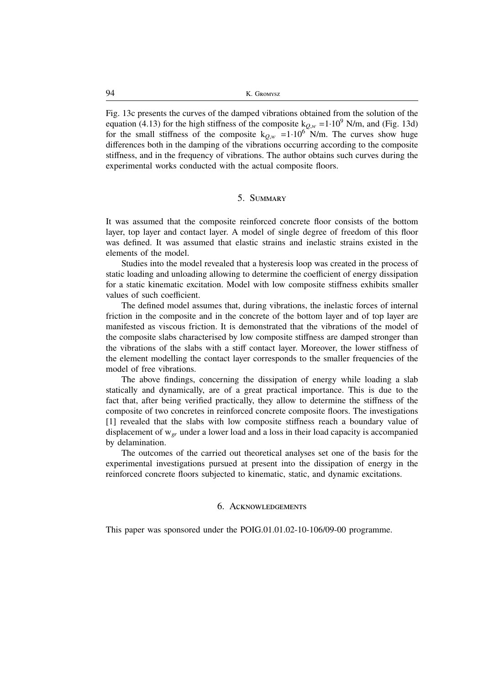94 K. GROMYSZ

Fig. 13c presents the curves of the damped vibrations obtained from the solution of the equation (4.13) for the high stiffness of the composite  $k_{Q,w} = 1.10^9$  N/m, and (Fig. 13d) for the small stiffness of the composite  $k_{Q,w} = 1.10^6$  N/m. The curves show huge differences both in the damping of the vibrations occurring according to the composite stiffness, and in the frequency of vibrations. The author obtains such curves during the experimental works conducted with the actual composite floors.

## 5. S

It was assumed that the composite reinforced concrete floor consists of the bottom layer, top layer and contact layer. A model of single degree of freedom of this floor was defined. It was assumed that elastic strains and inelastic strains existed in the elements of the model.

Studies into the model revealed that a hysteresis loop was created in the process of static loading and unloading allowing to determine the coefficient of energy dissipation for a static kinematic excitation. Model with low composite stiffness exhibits smaller values of such coefficient.

The defined model assumes that, during vibrations, the inelastic forces of internal friction in the composite and in the concrete of the bottom layer and of top layer are manifested as viscous friction. It is demonstrated that the vibrations of the model of the composite slabs characterised by low composite stiffness are damped stronger than the vibrations of the slabs with a stiff contact layer. Moreover, the lower stiffness of the element modelling the contact layer corresponds to the smaller frequencies of the model of free vibrations.

The above findings, concerning the dissipation of energy while loading a slab statically and dynamically, are of a great practical importance. This is due to the fact that, after being verified practically, they allow to determine the stiffness of the composite of two concretes in reinforced concrete composite floors. The investigations [1] revealed that the slabs with low composite stiffness reach a boundary value of displacement of w*gr* under a lower load and a loss in their load capacity is accompanied by delamination.

The outcomes of the carried out theoretical analyses set one of the basis for the experimental investigations pursued at present into the dissipation of energy in the reinforced concrete floors subjected to kinematic, static, and dynamic excitations.

### **6. ACKNOWLEDGEMENTS**

This paper was sponsored under the POIG.01.01.02-10-106/09-00 programme.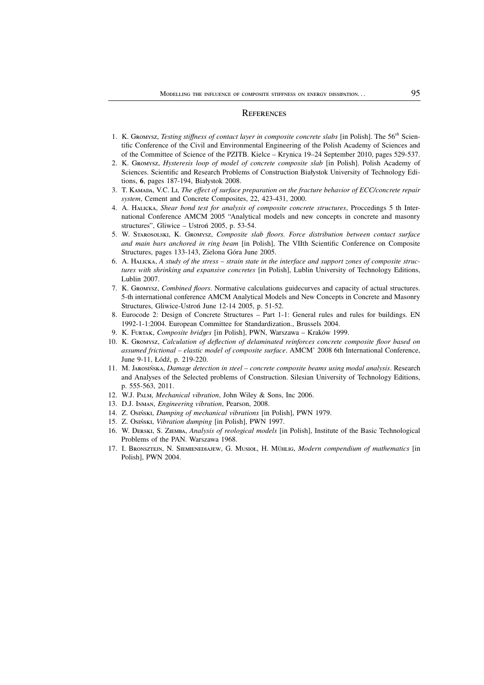## **REFERENCES**

- 1. K. Gromysz, *Testing stiffness of contact layer in composite concrete slabs* [in Polish]. The 56<sup>th</sup> Scientific Conference of the Civil and Environmental Engineering of the Polish Academy of Sciences and of the Committee of Science of the PZITB. Kielce – Krynica 19–24 September 2010, pages 529-537.
- 2. K. GROMYSZ, *Hysteresis loop of model of concrete composite slab* [in Polish]. Polish Academy of Sciences. Scientific and Research Problems of Construction Białystok University of Technology Editions, **6**, pages 187-194, Białystok 2008.
- 3. T. K, V.C. L, *The effect of surface preparation on the fracture behavior of ECC/concrete repair system*, Cement and Concrete Composites, 22, 423-431, 2000.
- 4. A. HALICKA, *Shear bond test for analysis of composite concrete structures*, Proccedings 5 th International Conference AMCM 2005 "Analytical models and new concepts in concrete and masonry structures", Gliwice – Ustroń 2005, p. 53-54.
- 5. W. STAROSOLSKI, K. GROMYSZ, *Composite slab floors. Force distribution between contact surface and main bars anchored in ring beam* [in Polish], The VIIth Scientific Conference on Composite Structures, pages 133-143, Zielona Góra June 2005.
- 6. A. H, *A study of the stress strain state in the interface and support zones of composite structures with shrinking and expansive concretes* [in Polish], Lublin University of Technology Editions, Lublin 2007.
- 7. K. GROMYSZ, *Combined floors*. Normative calculations guidecurves and capacity of actual structures. 5-th international conference AMCM Analytical Models and New Concepts in Concrete and Masonry Structures, Gliwice-Ustroń June 12-14 2005, p. 51-52.
- 8. Eurocode 2: Design of Concrete Structures Part 1-1: General rules and rules for buildings. EN 1992-1-1:2004. European Committee for Standardization., Brussels 2004.
- 9. K. FURTAK, *Composite bridges* [in Polish], PWN, Warszawa Kraków 1999.
- 10. K. Growysz, *Calculation of deflection of delaminated reinforces concrete composite floor based on assumed frictional – elastic model of composite surface*. AMCM' 2008 6th International Conference, June 9-11, Łódź, p. 219-220.
- 11. M. JAROSIŃSKA, *Damage detection in steel concrete composite beams using modal analysis*. Research and Analyses of the Selected problems of Construction. Silesian University of Technology Editions, p. 555-563, 2011.
- 12. W.J. PALM, *Mechanical vibration*, John Wiley & Sons, Inc 2006.
- 13. D.J. INMAN, *Engineering vibration*, Pearson, 2008.
- 14. Z. Ostóski, *Dumping of mechanical vibrations* [in Polish], PWN 1979.
- 15. Z. Osnáski, Vibration dumping [in Polish], PWN 1997.
- 16. W. DERSKI, S. ZIEMBA, *Analysis of reological models* [in Polish], Institute of the Basic Technological Problems of the PAN. Warszawa 1968.
- 17. I. BRONSZTEJN, N. SIEMIENEDIAJEW, G. MUSIOŁ, H. MÜHLIG, Modern compendium of mathematics [in Polish], PWN 2004.